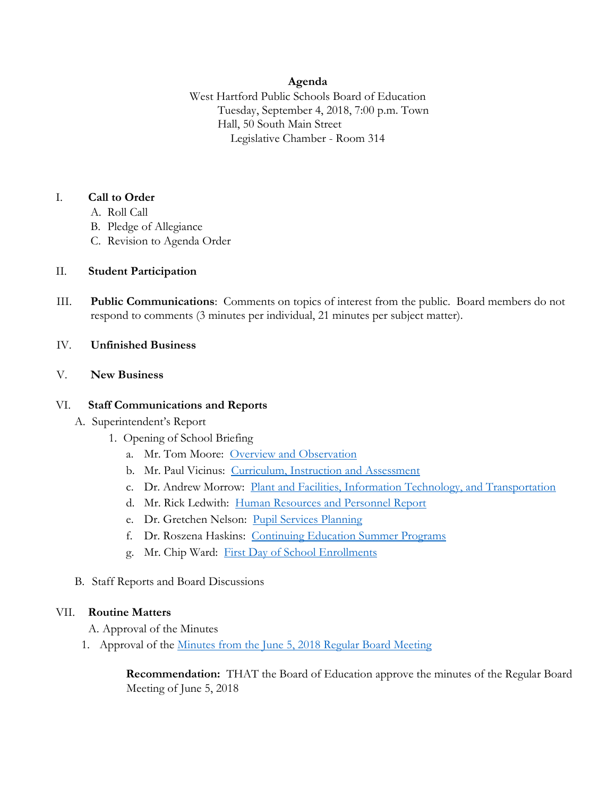# **Agenda**

West Hartford Public Schools Board of Education Tuesday, September 4, 2018, 7:00 p.m. Town Hall, 50 South Main Street Legislative Chamber - Room 314

# I. **Call to Order**

- A. Roll Call
- B. Pledge of Allegiance
- C. Revision to Agenda Order

# II. **Student Participation**

III. **Public Communications**: Comments on topics of interest from the public. Board members do not respond to comments (3 minutes per individual, 21 minutes per subject matter).

## IV. **Unfinished Business**

## V. **New Business**

## VI. **Staff Communications and Reports**

- A. Superintendent's Report
	- 1. Opening of School Briefing
		- a. Mr. Tom Moore: [Overview and Observation](https://www.whps.org/uploaded/BOE/BOE_Documents/20180904/Overview_and_observation_TM.pdf?1535743151723)
		- b. Mr. Paul Vicinus: [Curriculum, Instruction and Assessment](https://www.whps.org/uploaded/BOE/BOE_Documents/20180904/Curriculum_Instruction_and_Assess_PV.pdf?1535743250146)
		- c. Dr. Andrew Morrow: [Plant and Facilities, Information Technology, and Transportation](https://www.whps.org/uploaded/BOE/BOE_Documents/20180904/Plant_Facilities_IT_and_Transp_AM.pdf?1535743196823)
		- d. Mr. Rick Ledwith: [Human Resources and Personnel Report](https://www.whps.org/uploaded/BOE/BOE_Documents/20180904/Human_Resources_RL.pdf?1535743352987)
		- e. Dr. Gretchen Nelson: [Pupil Services Planning](https://www.whps.org/uploaded/BOE/BOE_Documents/20180904/Pupil_Services_GN.pdf?1535743397747)
		- f. Dr. Roszena Haskins: [Continuing Education Summer Programs](https://www.whps.org/uploaded/BOE/BOE_Documents/20180904/Continuing_Education_Summer_Programs_Report_RH.pdf?1535743431232)
		- g. Mr. Chip Ward: [First Day of School Enrollments](https://www.whps.org/uploaded/BOE/BOE_Documents/20180904/Opening_of_school_Aug_29,_2018_Chip.pdf?1535743468924)
- B. Staff Reports and Board Discussions

## VII. **Routine Matters**

A. Approval of the Minutes

1. Approval of the [Minutes from the June 5, 2018 Regular Board Meeting](https://www.whps.org/uploaded/BOE/BOE_Documents/20180904/June_5th_Board_Meeting_Minutes.pdf?1535743511384)

**Recommendation:** THAT the Board of Education approve the minutes of the Regular Board Meeting of June 5, 2018